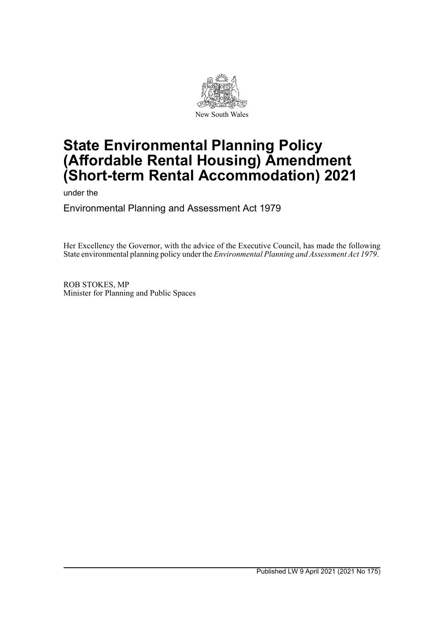

# **State Environmental Planning Policy (Affordable Rental Housing) Amendment (Short-term Rental Accommodation) 2021**

under the

Environmental Planning and Assessment Act 1979

Her Excellency the Governor, with the advice of the Executive Council, has made the following State environmental planning policy under the *Environmental Planning and Assessment Act 1979*.

ROB STOKES, MP Minister for Planning and Public Spaces

Published LW 9 April 2021 (2021 No 175)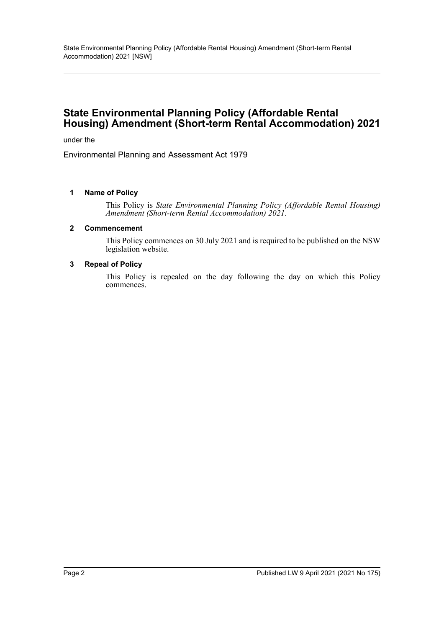# **State Environmental Planning Policy (Affordable Rental Housing) Amendment (Short-term Rental Accommodation) 2021**

under the

Environmental Planning and Assessment Act 1979

#### **1 Name of Policy**

This Policy is *State Environmental Planning Policy (Affordable Rental Housing) Amendment (Short-term Rental Accommodation) 2021*.

#### **2 Commencement**

This Policy commences on 30 July 2021 and is required to be published on the NSW legislation website.

#### **3 Repeal of Policy**

This Policy is repealed on the day following the day on which this Policy commences.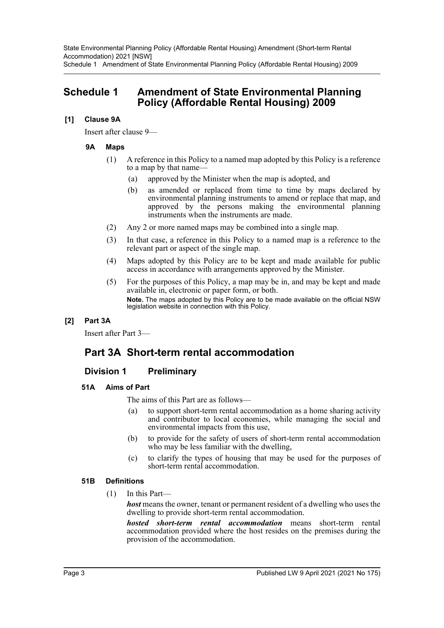State Environmental Planning Policy (Affordable Rental Housing) Amendment (Short-term Rental Accommodation) 2021 [NSW] Schedule 1 Amendment of State Environmental Planning Policy (Affordable Rental Housing) 2009

# **Schedule 1 Amendment of State Environmental Planning Policy (Affordable Rental Housing) 2009**

### **[1] Clause 9A**

Insert after clause 9—

### **9A Maps**

- (1) A reference in this Policy to a named map adopted by this Policy is a reference to a map by that name—
	- (a) approved by the Minister when the map is adopted, and
	- (b) as amended or replaced from time to time by maps declared by environmental planning instruments to amend or replace that map, and approved by the persons making the environmental planning instruments when the instruments are made.
- (2) Any 2 or more named maps may be combined into a single map.
- (3) In that case, a reference in this Policy to a named map is a reference to the relevant part or aspect of the single map.
- (4) Maps adopted by this Policy are to be kept and made available for public access in accordance with arrangements approved by the Minister.
- (5) For the purposes of this Policy, a map may be in, and may be kept and made available in, electronic or paper form, or both. **Note.** The maps adopted by this Policy are to be made available on the official NSW legislation website in connection with this Policy.

## **[2] Part 3A**

Insert after Part 3—

# **Part 3A Short-term rental accommodation**

# **Division 1 Preliminary**

### **51A Aims of Part**

The aims of this Part are as follows—

- (a) to support short-term rental accommodation as a home sharing activity and contributor to local economies, while managing the social and environmental impacts from this use,
- (b) to provide for the safety of users of short-term rental accommodation who may be less familiar with the dwelling,
- (c) to clarify the types of housing that may be used for the purposes of short-term rental accommodation.

### **51B Definitions**

(1) In this Part—

*host* means the owner, tenant or permanent resident of a dwelling who uses the dwelling to provide short-term rental accommodation.

*hosted short-term rental accommodation* means short-term rental accommodation provided where the host resides on the premises during the provision of the accommodation.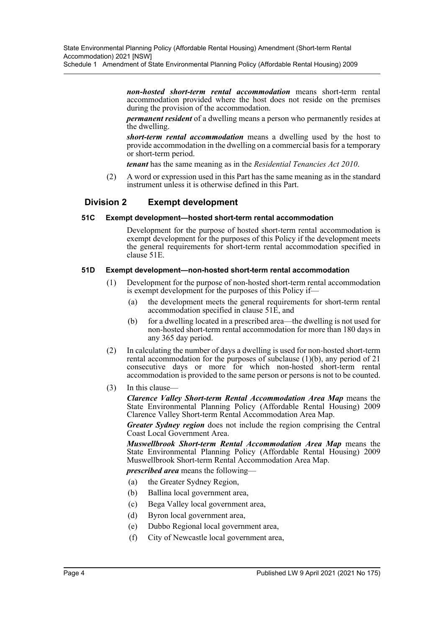Schedule 1 Amendment of State Environmental Planning Policy (Affordable Rental Housing) 2009

*non-hosted short-term rental accommodation* means short-term rental accommodation provided where the host does not reside on the premises during the provision of the accommodation.

*permanent resident* of a dwelling means a person who permanently resides at the dwelling.

*short-term rental accommodation* means a dwelling used by the host to provide accommodation in the dwelling on a commercial basis for a temporary or short-term period.

*tenant* has the same meaning as in the *Residential Tenancies Act 2010*.

(2) A word or expression used in this Part has the same meaning as in the standard instrument unless it is otherwise defined in this Part.

## **Division 2 Exempt development**

#### **51C Exempt development—hosted short-term rental accommodation**

Development for the purpose of hosted short-term rental accommodation is exempt development for the purposes of this Policy if the development meets the general requirements for short-term rental accommodation specified in clause 51E.

#### **51D Exempt development—non-hosted short-term rental accommodation**

- (1) Development for the purpose of non-hosted short-term rental accommodation is exempt development for the purposes of this Policy if—
	- (a) the development meets the general requirements for short-term rental accommodation specified in clause 51E, and
	- (b) for a dwelling located in a prescribed area—the dwelling is not used for non-hosted short-term rental accommodation for more than 180 days in any 365 day period.
- (2) In calculating the number of days a dwelling is used for non-hosted short-term rental accommodation for the purposes of subclause (1)(b), any period of 21 consecutive days or more for which non-hosted short-term rental accommodation is provided to the same person or persons is not to be counted.
- (3) In this clause—

*Clarence Valley Short-term Rental Accommodation Area Map* means the State Environmental Planning Policy (Affordable Rental Housing) 2009 Clarence Valley Short-term Rental Accommodation Area Map.

*Greater Sydney region* does not include the region comprising the Central Coast Local Government Area.

*Muswellbrook Short-term Rental Accommodation Area Map* means the State Environmental Planning Policy (Affordable Rental Housing) 2009 Muswellbrook Short-term Rental Accommodation Area Map.

*prescribed area* means the following—

- (a) the Greater Sydney Region,
- (b) Ballina local government area,
- (c) Bega Valley local government area,
- (d) Byron local government area,
- (e) Dubbo Regional local government area,
- (f) City of Newcastle local government area,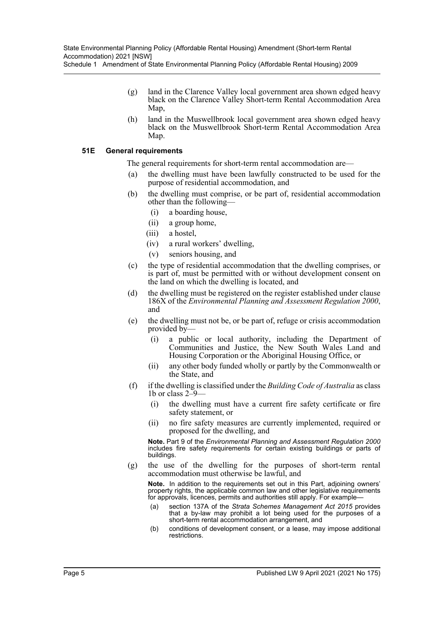Schedule 1 Amendment of State Environmental Planning Policy (Affordable Rental Housing) 2009

- (g) land in the Clarence Valley local government area shown edged heavy black on the Clarence Valley Short-term Rental Accommodation Area Map,
- (h) land in the Muswellbrook local government area shown edged heavy black on the Muswellbrook Short-term Rental Accommodation Area Map.

#### **51E General requirements**

The general requirements for short-term rental accommodation are—

- the dwelling must have been lawfully constructed to be used for the purpose of residential accommodation, and
- (b) the dwelling must comprise, or be part of, residential accommodation other than the following—
	- (i) a boarding house,
	- (ii) a group home,
	- (iii) a hostel,
	- (iv) a rural workers' dwelling,
	- (v) seniors housing, and
- (c) the type of residential accommodation that the dwelling comprises, or is part of, must be permitted with or without development consent on the land on which the dwelling is located, and
- (d) the dwelling must be registered on the register established under clause 186X of the *Environmental Planning and Assessment Regulation 2000*, and
- (e) the dwelling must not be, or be part of, refuge or crisis accommodation provided by—
	- (i) a public or local authority, including the Department of Communities and Justice, the New South Wales Land and Housing Corporation or the Aboriginal Housing Office, or
	- (ii) any other body funded wholly or partly by the Commonwealth or the State, and
- (f) if the dwelling is classified under the *Building Code of Australia* as class 1b or class 2–9—
	- (i) the dwelling must have a current fire safety certificate or fire safety statement, or
	- (ii) no fire safety measures are currently implemented, required or proposed for the dwelling, and

**Note.** Part 9 of the *Environmental Planning and Assessment Regulation 2000* includes fire safety requirements for certain existing buildings or parts of buildings.

(g) the use of the dwelling for the purposes of short-term rental accommodation must otherwise be lawful, and

**Note.** In addition to the requirements set out in this Part, adjoining owners' property rights, the applicable common law and other legislative requirements for approvals, licences, permits and authorities still apply. For example—

- (a) section 137A of the *Strata Schemes Management Act 2015* provides that a by-law may prohibit a lot being used for the purposes of a short-term rental accommodation arrangement, and
- (b) conditions of development consent, or a lease, may impose additional restrictions.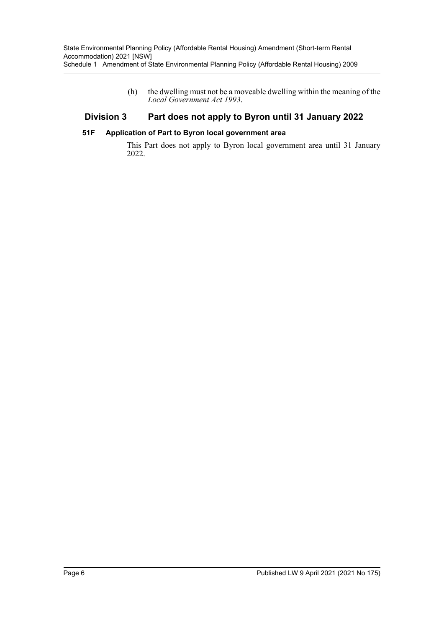(h) the dwelling must not be a moveable dwelling within the meaning of the *Local Government Act 1993*.

## **Division 3 Part does not apply to Byron until 31 January 2022**

#### **51F Application of Part to Byron local government area**

This Part does not apply to Byron local government area until 31 January 2022.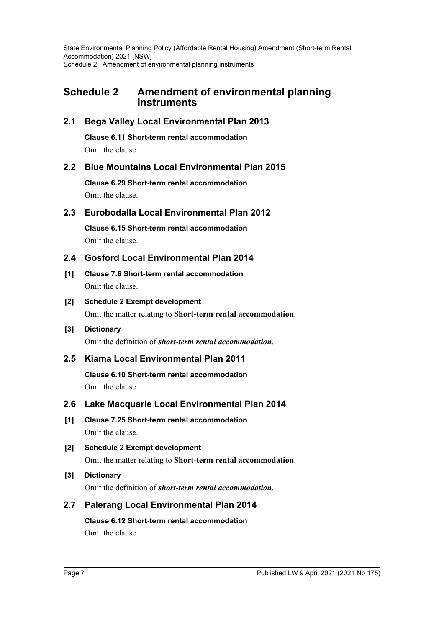# **Schedule 2 Amendment of environmental planning instruments**

## **2.1 Bega Valley Local Environmental Plan 2013**

**Clause 6.11 Short-term rental accommodation**

Omit the clause.

## **2.2 Blue Mountains Local Environmental Plan 2015**

**Clause 6.29 Short-term rental accommodation** Omit the clause.

## **2.3 Eurobodalla Local Environmental Plan 2012**

**Clause 6.15 Short-term rental accommodation** Omit the clause.

## **2.4 Gosford Local Environmental Plan 2014**

- **[1] Clause 7.6 Short-term rental accommodation** Omit the clause.
- **[2] Schedule 2 Exempt development** Omit the matter relating to **Short-term rental accommodation**.

# **[3] Dictionary**

Omit the definition of *short-term rental accommodation*.

# **2.5 Kiama Local Environmental Plan 2011**

**Clause 6.10 Short-term rental accommodation** Omit the clause.

## **2.6 Lake Macquarie Local Environmental Plan 2014**

- **[1] Clause 7.25 Short-term rental accommodation** Omit the clause.
- **[2] Schedule 2 Exempt development** Omit the matter relating to **Short-term rental accommodation**.

## **[3] Dictionary** Omit the definition of *short-term rental accommodation*.

# **2.7 Palerang Local Environmental Plan 2014**

# **Clause 6.12 Short-term rental accommodation**

Omit the clause.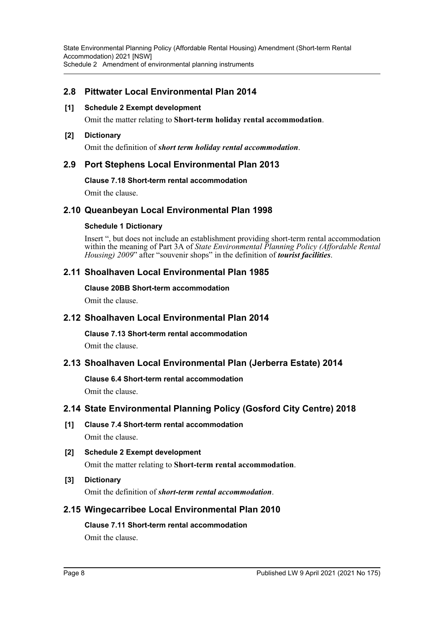## **2.8 Pittwater Local Environmental Plan 2014**

#### **[1] Schedule 2 Exempt development**

Omit the matter relating to **Short-term holiday rental accommodation**.

#### **[2] Dictionary**

Omit the definition of *short term holiday rental accommodation*.

## **2.9 Port Stephens Local Environmental Plan 2013**

#### **Clause 7.18 Short-term rental accommodation**

Omit the clause.

## **2.10 Queanbeyan Local Environmental Plan 1998**

#### **Schedule 1 Dictionary**

Insert ", but does not include an establishment providing short-term rental accommodation within the meaning of Part 3A of *State Environmental Planning Policy (Affordable Rental Housing) 2009*" after "souvenir shops" in the definition of *tourist facilities*.

## **2.11 Shoalhaven Local Environmental Plan 1985**

#### **Clause 20BB Short-term accommodation**

Omit the clause.

## **2.12 Shoalhaven Local Environmental Plan 2014**

### **Clause 7.13 Short-term rental accommodation**

Omit the clause.

## **2.13 Shoalhaven Local Environmental Plan (Jerberra Estate) 2014**

### **Clause 6.4 Short-term rental accommodation**

Omit the clause.

## **2.14 State Environmental Planning Policy (Gosford City Centre) 2018**

- **[1] Clause 7.4 Short-term rental accommodation** Omit the clause.
- **[2] Schedule 2 Exempt development** Omit the matter relating to **Short-term rental accommodation**.
- **[3] Dictionary**

Omit the definition of *short-term rental accommodation*.

## **2.15 Wingecarribee Local Environmental Plan 2010**

# **Clause 7.11 Short-term rental accommodation**

Omit the clause.